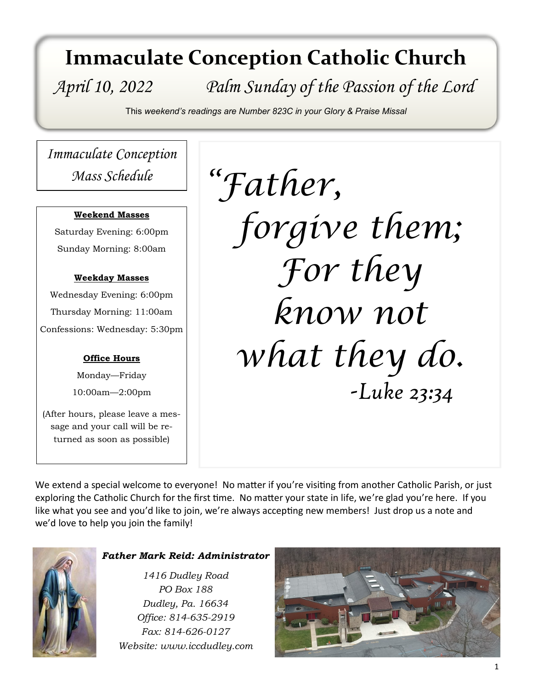# **Immaculate Conception Catholic Church**

# *April 10, 2022 Palm Sunday of the Passion of the Lord*

This *weekend's readings are Number 823C in your Glory & Praise Missal*

*Immaculate Conception Mass Schedule*

#### **Weekend Masses**

Saturday Evening: 6:00pm Sunday Morning: 8:00am

#### **Weekday Masses**

Wednesday Evening: 6:00pm Thursday Morning: 11:00am Confessions: Wednesday: 5:30pm

#### **Office Hours**

Monday—Friday 10:00am—2:00pm

(After hours, please leave a message and your call will be returned as soon as possible)

*"Father, forgive them; For they know not what they do. -Luke 23:34*

We extend a special welcome to everyone! No matter if you're visiting from another Catholic Parish, or just exploring the Catholic Church for the first time. No matter your state in life, we're glad you're here. If you like what you see and you'd like to join, we're always accepting new members! Just drop us a note and we'd love to help you join the family!



#### *Father Mark Reid: Administrator*

*1416 Dudley Road PO Box 188 Dudley, Pa. 16634 Office: 814-635-2919 Fax: 814-626-0127 Website: www.iccdudley.com*

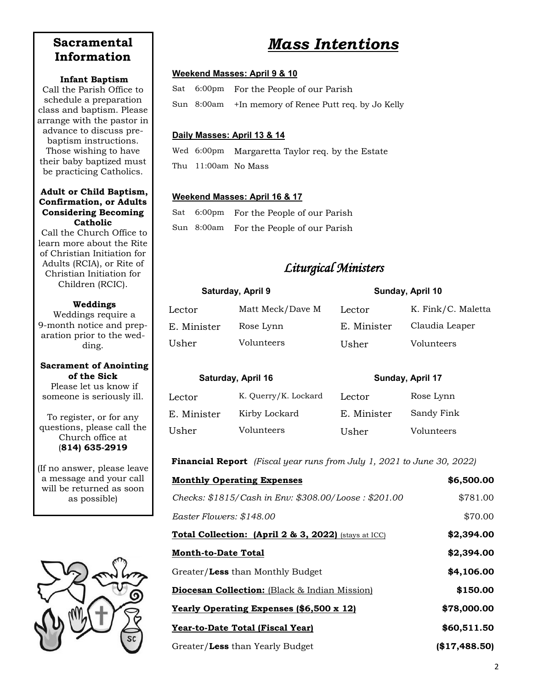## **Sacramental Information**

#### **Infant Baptism**

Call the Parish Office to schedule a preparation class and baptism. Please arrange with the pastor in advance to discuss prebaptism instructions. Those wishing to have their baby baptized must be practicing Catholics.

#### **Adult or Child Baptism, Confirmation, or Adults Considering Becoming Catholic**

Call the Church Office to learn more about the Rite of Christian Initiation for Adults (RCIA), or Rite of Christian Initiation for Children (RCIC).

#### **Weddings**

Weddings require a 9-month notice and preparation prior to the wedding.

#### **Sacrament of Anointing of the Sick**

Please let us know if someone is seriously ill.

To register, or for any questions, please call the Church office at (**814) 635-2919**

(If no answer, please leave a message and your call will be returned as soon as possible)



## *Mass Intentions*

#### **Weekend Masses: April 9 & 10**

|  | Sat 6:00pm For the People of our Parish              |
|--|------------------------------------------------------|
|  | Sun 8:00am +In memory of Renee Putt req. by Jo Kelly |

#### **Daily Masses: April 13 & 14**

Wed 6:00pm Margaretta Taylor req. by the Estate Thu 11:00am No Mass

#### **Weekend Masses: April 16 & 17**

|  | Sat 6:00pm For the People of our Parish |
|--|-----------------------------------------|
|  | Sun 8:00am For the People of our Parish |

### *Liturgical Ministers*

| Saturday, April 9 |                  | Sunday, April 10 |                    |
|-------------------|------------------|------------------|--------------------|
| Lector            | Matt Meck/Dave M | Lector           | K. Fink/C. Maletta |
| E. Minister       | Rose Lynn        | E. Minister      | Claudia Leaper     |
| Usher             | Volunteers       | Usher            | Volunteers         |

|             | Saturday, April 16   | Sunday, April 17 |            |
|-------------|----------------------|------------------|------------|
| Lector      | K. Querry/K. Lockard | Lector           | Rose Lynn  |
| E. Minister | Kirby Lockard        | E. Minister      | Sandy Fink |
| Usher       | Volunteers           | Usher            | Volunteers |

#### **Financial Report** *(Fiscal year runs from July 1, 2021 to June 30, 2022)*

| <b>Monthly Operating Expenses</b>                               | \$6,500.00  |
|-----------------------------------------------------------------|-------------|
| Checks: \$1815/Cash in Env: \$308.00/Loose: \$201.00            | \$781.00    |
| Easter Flowers: \$148.00                                        | \$70.00     |
| <b>Total Collection: (April 2 &amp; 3, 2022)</b> (stays at ICC) | \$2,394.00  |
| <b>Month-to-Date Total</b>                                      | \$2,394.00  |
| Greater/Less than Monthly Budget                                | \$4,106.00  |
| <b>Diocesan Collection:</b> (Black & Indian Mission)            | \$150.00    |
| Yearly Operating Expenses (\$6,500 x 12)                        | \$78,000.00 |
| Year-to-Date Total (Fiscal Year)                                | \$60,511.50 |
| Greater/Less than Yearly Budget                                 | \$17,488.50 |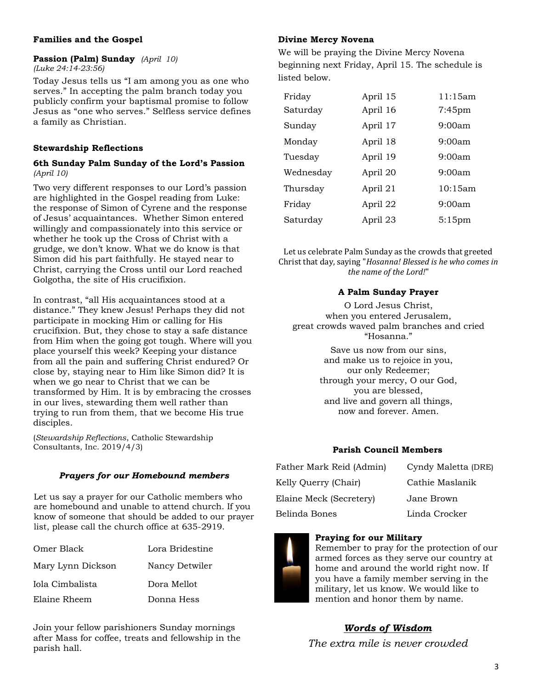#### **Families and the Gospel**

#### **Passion (Palm) Sunday** *(April 10) (Luke 24:14-23:56)*

Today Jesus tells us "I am among you as one who serves." In accepting the palm branch today you publicly confirm your baptismal promise to follow Jesus as "one who serves." Selfless service defines a family as Christian.

#### **Stewardship Reflections**

#### **6th Sunday Palm Sunday of the Lord's Passion**  *(April 10)*

Two very different responses to our Lord's passion are highlighted in the Gospel reading from Luke: the response of Simon of Cyrene and the response of Jesus' acquaintances. Whether Simon entered willingly and compassionately into this service or whether he took up the Cross of Christ with a grudge, we don't know. What we do know is that Simon did his part faithfully. He stayed near to Christ, carrying the Cross until our Lord reached Golgotha, the site of His crucifixion.

In contrast, "all His acquaintances stood at a distance." They knew Jesus! Perhaps they did not participate in mocking Him or calling for His crucifixion. But, they chose to stay a safe distance from Him when the going got tough. Where will you place yourself this week? Keeping your distance from all the pain and suffering Christ endured? Or close by, staying near to Him like Simon did? It is when we go near to Christ that we can be transformed by Him. It is by embracing the crosses in our lives, stewarding them well rather than trying to run from them, that we become His true disciples.

(*Stewardship Reflections*, Catholic Stewardship Consultants, Inc. 2019/4/3)

#### *Prayers for our Homebound members*

Let us say a prayer for our Catholic members who are homebound and unable to attend church. If you know of someone that should be added to our prayer list, please call the church office at 635-2919.

| Omer Black        | Lora Bridestine |
|-------------------|-----------------|
| Mary Lynn Dickson | Nancy Detwiler  |
| Iola Cimbalista   | Dora Mellot     |
| Elaine Rheem      | Donna Hess      |

Join your fellow parishioners Sunday mornings after Mass for coffee, treats and fellowship in the parish hall.

#### **Divine Mercy Novena**

We will be praying the Divine Mercy Novena beginning next Friday, April 15. The schedule is listed below.

| Friday    | April 15 | 11:15am   |
|-----------|----------|-----------|
| Saturday  | April 16 | $7:45$ pm |
| Sunday    | April 17 | 9:00am    |
| Monday    | April 18 | 9:00am    |
| Tuesday   | April 19 | 9:00am    |
| Wednesday | April 20 | 9:00am    |
| Thursday  | April 21 | 10:15am   |
| Friday    | April 22 | 9:00am    |
| Saturday  | April 23 | $5:15$ pm |
|           |          |           |

Let us celebrate Palm Sunday as the crowds that greeted Christ that day, saying "*Hosanna! Blessed is he who comes in the name of the Lord!*"

#### **A Palm Sunday Prayer**

O Lord Jesus Christ, when you entered Jerusalem, great crowds waved palm branches and cried "Hosanna." Save us now from our sins, and make us to rejoice in you, our only Redeemer;

through your mercy, O our God, you are blessed, and live and govern all things, now and forever. Amen.

#### **Parish Council Members**

| Father Mark Reid (Admin) | Cyndy Maletta (DRE) |
|--------------------------|---------------------|
| Kelly Querry (Chair)     | Cathie Maslanik     |
| Elaine Meck (Secretery)  | Jane Brown          |
| Belinda Bones            | Linda Crocker       |

#### **Praying for our Military**



Remember to pray for the protection of our armed forces as they serve our country at home and around the world right now. If you have a family member serving in the military, let us know. We would like to mention and honor them by name.

### *Words of Wisdom*

*The extra mile is never crowded*